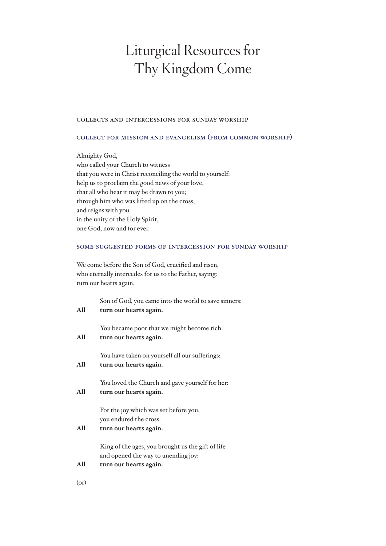# Liturgical Resources for Thy Kingdom Come

#### collects and intercessions for sunday worship

#### collect for mission and evangelism (from common worship)

Almighty God, who called your Church to witness that you were in Christ reconciling the world to yourself: help us to proclaim the good news of your love, that all who hear it may be drawn to you; through him who was lifted up on the cross, and reigns with you in the unity of the Holy Spirit, one God, now and for ever.

#### some suggested forms of intercession for sunday worship

We come before the Son of God, crucified and risen, who eternally intercedes for us to the Father, saying: turn our hearts again.

| All        | Son of God, you came into the world to save sinners:<br>turn our hearts again.                                     |
|------------|--------------------------------------------------------------------------------------------------------------------|
| All        | You became poor that we might become rich:<br>turn our hearts again.                                               |
| All        | You have taken on yourself all our sufferings:<br>turn our hearts again.                                           |
| All        | You loved the Church and gave yourself for her:<br>turn our hearts again.                                          |
| All        | For the joy which was set before you,<br>you endured the cross:<br>turn our hearts again.                          |
| All        | King of the ages, you brought us the gift of life<br>and opened the way to unending joy:<br>turn our hearts again. |
| $($ or $)$ |                                                                                                                    |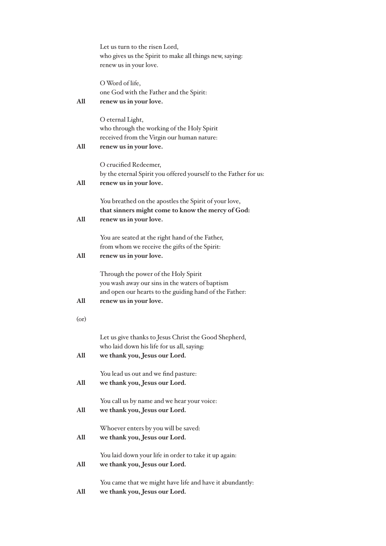|            | Let us turn to the risen Lord,<br>who gives us the Spirit to make all things new, saying:<br>renew us in your love.                                                         |
|------------|-----------------------------------------------------------------------------------------------------------------------------------------------------------------------------|
| All        | O Word of life,<br>one God with the Father and the Spirit:<br>renew us in your love.                                                                                        |
| All        | O eternal Light,<br>who through the working of the Holy Spirit<br>received from the Virgin our human nature:<br>renew us in your love.                                      |
| A11        | O crucified Redeemer,<br>by the eternal Spirit you offered yourself to the Father for us:<br>renew us in your love.                                                         |
| All        | You breathed on the apostles the Spirit of your love,<br>that sinners might come to know the mercy of God:<br>renew us in your love.                                        |
| All        | You are seated at the right hand of the Father,<br>from whom we receive the gifts of the Spirit:<br>renew us in your love.                                                  |
| All        | Through the power of the Holy Spirit<br>you wash away our sins in the waters of baptism<br>and open our hearts to the guiding hand of the Father:<br>renew us in your love. |
| $($ or $)$ |                                                                                                                                                                             |
| All        | Let us give thanks to Jesus Christ the Good Shepherd,<br>who laid down his life for us all, saying:<br>we thank you, Jesus our Lord.                                        |
| All        | You lead us out and we find pasture:<br>we thank you, Jesus our Lord.                                                                                                       |
| A11        | You call us by name and we hear your voice:<br>we thank you, Jesus our Lord.                                                                                                |
| All        | Whoever enters by you will be saved:<br>we thank you, Jesus our Lord.                                                                                                       |
| All        | You laid down your life in order to take it up again:<br>we thank you, Jesus our Lord.                                                                                      |
| All        | You came that we might have life and have it abundantly:<br>we thank you, Jesus our Lord.                                                                                   |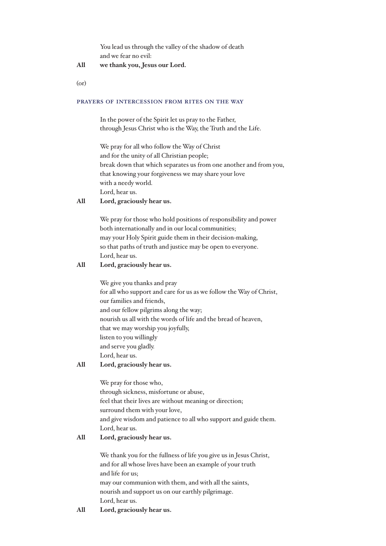You lead us through the valley of the shadow of death and we fear no evil:

# **All we thank you, Jesus our Lord.**

(or)

#### prayers of intercession from rites on the way

In the power of the Spirit let us pray to the Father, through Jesus Christ who is the Way, the Truth and the Life.

We pray for all who follow the Way of Christ and for the unity of all Christian people; break down that which separates us from one another and from you, that knowing your forgiveness we may share your love with a needy world. Lord, hear us.

## **All Lord, graciously hear us.**

We pray for those who hold positions of responsibility and power both internationally and in our local communities; may your Holy Spirit guide them in their decision-making, so that paths of truth and justice may be open to everyone. Lord, hear us.

# **All Lord, graciously hear us.**

We give you thanks and pray for all who support and care for us as we follow the Way of Christ, our families and friends, and our fellow pilgrims along the way; nourish us all with the words of life and the bread of heaven, that we may worship you joyfully, listen to you willingly and serve you gladly. Lord, hear us.

#### **All Lord, graciously hear us.**

We pray for those who, through sickness, misfortune or abuse, feel that their lives are without meaning or direction; surround them with your love, and give wisdom and patience to all who support and guide them. Lord, hear us.

## **All Lord, graciously hear us.**

We thank you for the fullness of life you give us in Jesus Christ, and for all whose lives have been an example of your truth and life for us; may our communion with them, and with all the saints, nourish and support us on our earthly pilgrimage. Lord, hear us.

#### **All Lord, graciously hear us.**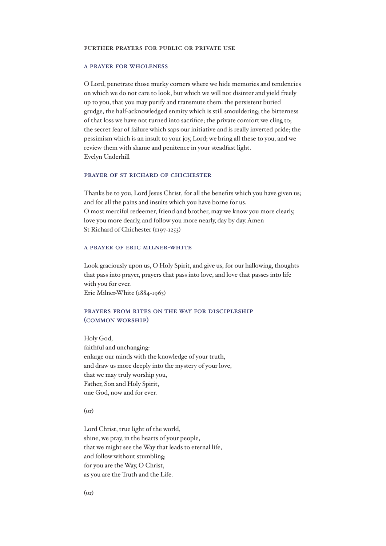#### further prayers for public or private use

## a prayer for wholeness

O Lord, penetrate those murky corners where we hide memories and tendencies on which we do not care to look, but which we will not disinter and yield freely up to you, that you may purify and transmute them: the persistent buried grudge, the half-acknowledged enmity which is still smouldering; the bitterness of that loss we have not turned into sacrifice; the private comfort we cling to; the secret fear of failure which saps our initiative and is really inverted pride; the pessimism which is an insult to your joy, Lord; we bring all these to you, and we review them with shame and penitence in your steadfast light. Evelyn Underhill

#### prayer of st richard of chichester

Thanks be to you, Lord Jesus Christ, for all the benefits which you have given us; and for all the pains and insults which you have borne for us. O most merciful redeemer, friend and brother, may we know you more clearly, love you more dearly, and follow you more nearly, day by day. Amen St Richard of Chichester (1197-1253)

#### a prayer of eric milner-white

Look graciously upon us, O Holy Spirit, and give us, for our hallowing, thoughts that pass into prayer, prayers that pass into love, and love that passes into life with you for ever.

Eric Milner-White (1884-1963)

## prayers from rites on the way for discipleship (common worship)

Holy God, faithful and unchanging: enlarge our minds with the knowledge of your truth, and draw us more deeply into the mystery of your love, that we may truly worship you, Father, Son and Holy Spirit, one God, now and for ever.

(or)

Lord Christ, true light of the world, shine, we pray, in the hearts of your people, that we might see the Way that leads to eternal life, and follow without stumbling; for you are the Way, O Christ, as you are the Truth and the Life.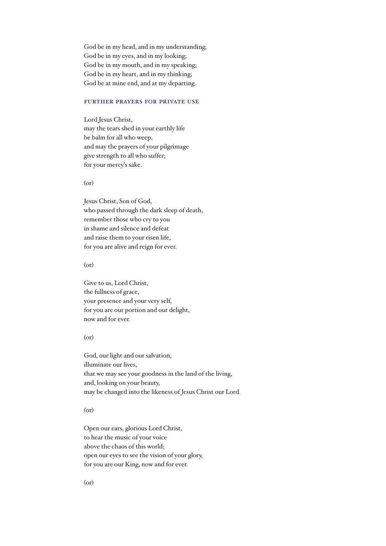God be in my head, and in my understanding; God be in my eyes, and in my looking; God be in my mouth, and in my speaking; God be in my heart, and in my thinking; God be at mine end, and at my departing.

#### further prayers for private use

Lord Jesus Christ, may the tears shed in your earthly life be balm for all who weep, and may the prayers of your pilgrimage give strength to all who suffer; for your mercy's sake.

(or)

Jesus Christ, Son of God, who passed through the dark sleep of death, remember those who cry to you in shame and silence and defeat and raise them to your risen life, for you are alive and reign for ever.

(or)

Give to us, Lord Christ, the fullness of grace, your presence and your very self, for you are our portion and our delight, now and for ever.

#### (or)

God, our light and our salvation, illuminate our lives, that we may see your goodness in the land of the living, and, looking on your beauty, may be changed into the likeness of Jesus Christ our Lord.

#### (or)

Open our ears, glorious Lord Christ, to hear the music of your voice above the chaos of this world; open our eyes to see the vision of your glory, for you are our King, now and for ever.

(or)